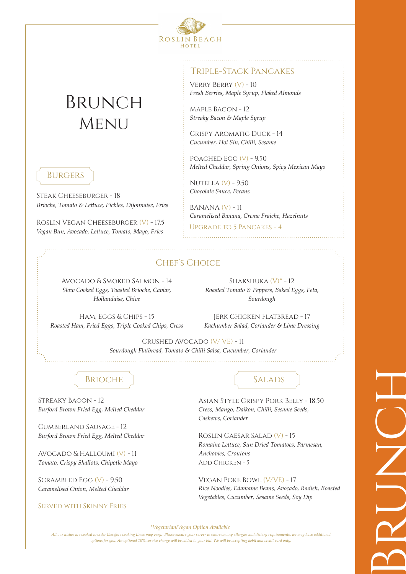

# **BRUNCH MENU**

# **BURGERS**

Steak Cheeseburger - 18 *Brioche, Tomato & Lettuce, Pickles, Dijonnaise, Fries*

Roslin Vegan Cheeseburger (V) - 17.5 *Vegan Bun, Avocado, Lettuce, Tomato, Mayo, Fries*

## Triple-Stack Pancakes

Verry Berry (V) - 10 *Fresh Berries, Maple Syrup, Flaked Almonds*

Maple Bacon - 12 *Streaky Bacon & Maple Syrup*

Crispy Aromatic Duck - 14 *Cucumber, Hoi Sin, Chilli, Sesame*

POACHED EGG  $(V)$  - 9.50 *Melted Cheddar, Spring Onions, Spicy Mexican Mayo*

NUTELLA  $(V)$  - 9.50 *Chocolate Sauce, Pecans*

 $BANANA (V) - 11$ *Caramelised Banana, Creme Fraiche, Hazelnuts* Upgrade to 5 Pancakes - 4

# Chef's Choice

Avocado & Smoked Salmon - 14 *Slow Cooked Eggs, Toasted Brioche, Caviar, Hollandaise, Chive*

SHAKSHUKA  $(V)^*$  - 12 *Roasted Tomato & Peppers, Baked Eggs, Feta, Sourdough*

Ham, Eggs & Chips - 15 *Roasted Ham, Fried Eggs, Triple Cooked Chips, Cress*

Jerk Chicken Flatbread - 17 *Kachumber Salad, Coriander & Lime Dressing*

Crushed Avocado (V/ VE) - 11 *Sourdough Flatbread, Tomato & Chilli Salsa, Cucumber, Coriander*

Streaky Bacon - 12 *Burford Brown Fried Egg, Melted Cheddar*

Cumberland Sausage - 12 *Burford Brown Fried Egg, Melted Cheddar*

Avocado & Halloumi (v) - 11 *Tomato, Crispy Shallots, Chipotle Mayo*

SCRAMBLED EGG (V) - 9.50 *Caramelised Onion, Melted Cheddar*

Served with Skinny Fries



Asian Style Crispy Pork Belly - 18.50 *Cress, Mango, Daikon, Chilli, Sesame Seeds, Cashews, Coriander*

Roslin Caesar Salad (V) - 15 *Romaine Lettuce, Sun Dried Tomatoes, Parmesan, Anchovies, Croutons* ADD CHICKEN - 5

Vegan Poke Bowl (V/VE) - 17 *Rice Noodles, Edamame Beans, Avocado, Radish, Roasted Vegetables, Cucumber, Sesame Seeds, Soy Dip*

#### *\*Vegetarian/Vegan Option Available*

*All our dishes are cooked to order therefore cooking times may vary. Please ensure your server is aware on any allergies and dietary requirements, we may have additional options for you. An optional 10% service charge will be added to your bill. We will be accepting debit and credit card only.*